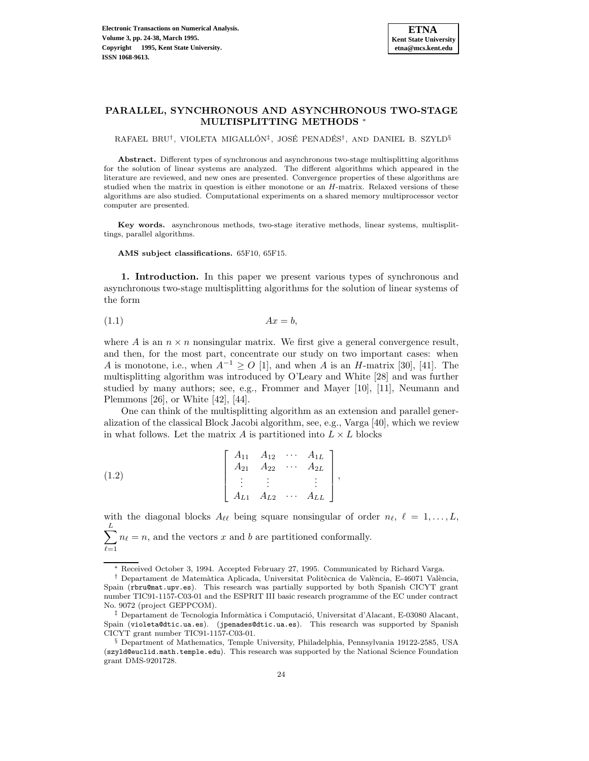

# **PARALLEL, SYNCHRONOUS AND ASYNCHRONOUS TWO-STAGE MULTISPLITTING METHODS** <sup>∗</sup>

RAFAEL BRU<sup>†</sup>, VIOLETA MIGALLÓN<sup>‡</sup>, JOSÉ PENADÉS<sup>†</sup>, AND DANIEL B. SZYLD<sup>§</sup>

**Abstract.** Different types of synchronous and asynchronous two-stage multisplitting algorithms for the solution of linear systems are analyzed. The different algorithms which appeared in the literature are reviewed, and new ones are presented. Convergence properties of these algorithms are studied when the matrix in question is either monotone or an H-matrix. Relaxed versions of these algorithms are also studied. Computational experiments on a shared memory multiprocessor vector computer are presented.

**Key words.** asynchronous methods, two-stage iterative methods, linear systems, multisplittings, parallel algorithms.

**AMS subject classifications.** 65F10, 65F15.

**1. Introduction.** In this paper we present various types of synchronous and asynchronous two-stage multisplitting algorithms for the solution of linear systems of the form

$$
(1.1)\t\t\t Ax = b,
$$

where A is an  $n \times n$  nonsingular matrix. We first give a general convergence result, and then, for the most part, concentrate our study on two important cases: when A is monotone, i.e., when  $A^{-1} \geq O$  [1], and when A is an H-matrix [30], [41]. The multisplitting algorithm was introduced by O'Leary and White [28] and was further studied by many authors; see, e.g., Frommer and Mayer [10], [11], Neumann and Plemmons [26], or White [42], [44].

One can think of the multisplitting algorithm as an extension and parallel generalization of the classical Block Jacobi algorithm, see, e.g., Varga [40], which we review in what follows. Let the matrix A is partitioned into  $L \times L$  blocks

(1.2) 
$$
\begin{bmatrix} A_{11} & A_{12} & \cdots & A_{1L} \\ A_{21} & A_{22} & \cdots & A_{2L} \\ \vdots & \vdots & & \vdots \\ A_{L1} & A_{L2} & \cdots & A_{LL} \end{bmatrix},
$$

with the diagonal blocks  $A_{\ell\ell}$  being square nonsingular of order  $n_{\ell}, \ell = 1,\ldots,L$ ,  $\stackrel{L}{\nabla}$  $_{\ell=1}$  $n_{\ell} = n$ , and the vectors x and b are partitioned conformally.

<sup>∗</sup> Received October 3, 1994. Accepted February 27, 1995. Communicated by Richard Varga.

<sup>&</sup>lt;sup>†</sup> Departament de Matemàtica Aplicada, Universitat Politècnica de València, E-46071 València, Spain (rbru@mat.upv.es). This research was partially supported by both Spanish CICYT grant number TIC91-1157-C03-01 and the ESPRIT III basic research programme of the EC under contract No. 9072 (project GEPPCOM).

 $\ddagger$  Departament de Tecnologia Informàtica i Computació, Universitat d'Alacant, E-03080 Alacant, Spain (violeta@dtic.ua.es). (jpenades@dtic.ua.es). This research was supported by Spanish CICYT grant number TIC91-1157-C03-01.

<sup>§</sup> Department of Mathematics, Temple University, Philadelphia, Pennsylvania 19122-2585, USA (szyld@euclid.math.temple.edu). This research was supported by the National Science Foundation grant DMS-9201728.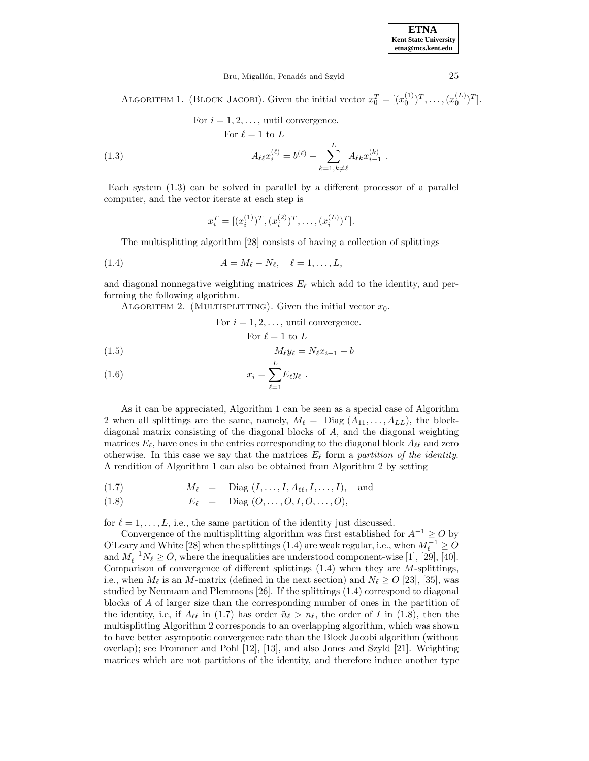Bru, Migallón, Penadés and Szyld 25

ALGORITHM 1. (BLOCK JACOBI). Given the initial vector  $x_0^T = [(x_0^{(1)})^T, \ldots, (x_0^{(L)})^T]$ .

(1.3) For 
$$
i = 1, 2, ...
$$
, until convergence.  
\nFor  $\ell = 1$  to L  
\n
$$
A_{\ell\ell} x_i^{(\ell)} = b^{(\ell)} - \sum_{k=1, k \neq \ell}^{L} A_{\ell k} x_{i-1}^{(k)}.
$$

Each system (1.3) can be solved in parallel by a different processor of a parallel computer, and the vector iterate at each step is

$$
x_i^T = [(x_i^{(1)})^T, (x_i^{(2)})^T, \dots, (x_i^{(L)})^T].
$$

The multisplitting algorithm [28] consists of having a collection of splittings

$$
(1.4) \t\t A = M_{\ell} - N_{\ell}, \quad \ell = 1, \ldots, L,
$$

and diagonal nonnegative weighting matrices  $E_\ell$  which add to the identity, and performing the following algorithm.

ALGORITHM 2. (MULTISPLITTING). Given the initial vector  $x_0$ .

For  $i = 1, 2, \ldots$ , until convergence.

For 
$$
\ell = 1
$$
 to L

$$
(1.5) \t\t M_{\ell}y_{\ell} = N_{\ell}x_{i-1} + b
$$

$$
(1.6) \t\t\t x_i = \sum_{\ell=1}^{n} E_{\ell} y_{\ell}.
$$

As it can be appreciated, Algorithm 1 can be seen as a special case of Algorithm 2 when all splittings are the same, namely,  $M_{\ell} = \text{Diag}(A_{11},\ldots,A_{LL})$ , the blockdiagonal matrix consisting of the diagonal blocks of A, and the diagonal weighting matrices  $E_\ell$ , have ones in the entries corresponding to the diagonal block  $A_{\ell\ell}$  and zero otherwise. In this case we say that the matrices  $E_\ell$  form a partition of the identity. A rendition of Algorithm 1 can also be obtained from Algorithm 2 by setting

$$
(1.7) \t M_{\ell} = \text{Diag}(I, \ldots, I, A_{\ell\ell}, I, \ldots, I), \text{ and}
$$

(1.8) 
$$
E_{\ell} = \text{Diag}(O, ..., O, I, O, ..., O),
$$

for  $\ell = 1,\ldots,L$ , i.e., the same partition of the identity just discussed.

Convergence of the multisplitting algorithm was first established for  $A^{-1} \geq O$  by O'Leary and White [28] when the splittings (1.4) are weak regular, i.e., when  $M_{\ell}^{-1} \geq O$ and  $M_{\ell}^{-1}N_{\ell} \geq O$ , where the inequalities are understood component-wise [1], [29], [40]. Comparison of convergence of different splittings  $(1.4)$  when they are M-splittings, i.e., when  $M_{\ell}$  is an M-matrix (defined in the next section) and  $N_{\ell} \geq O$  [23], [35], was studied by Neumann and Plemmons [26]. If the splittings (1.4) correspond to diagonal blocks of A of larger size than the corresponding number of ones in the partition of the identity, i.e, if  $A_{\ell\ell}$  in (1.7) has order  $\tilde{n}_{\ell} > n_{\ell}$ , the order of I in (1.8), then the multisplitting Algorithm 2 corresponds to an overlapping algorithm, which was shown to have better asymptotic convergence rate than the Block Jacobi algorithm (without overlap); see Frommer and Pohl [12], [13], and also Jones and Szyld [21]. Weighting matrices which are not partitions of the identity, and therefore induce another type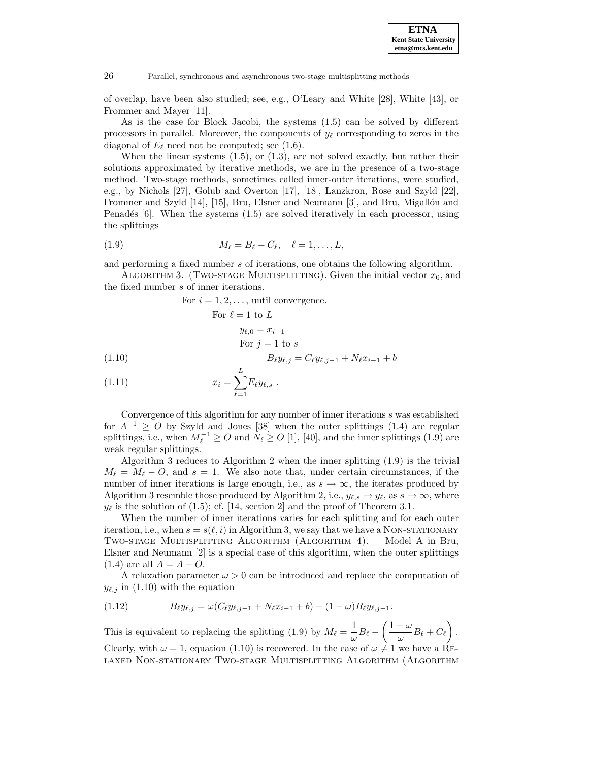

of overlap, have been also studied; see, e.g., O'Leary and White [28], White [43], or Frommer and Mayer [11].

As is the case for Block Jacobi, the systems (1.5) can be solved by different processors in parallel. Moreover, the components of  $y_\ell$  corresponding to zeros in the diagonal of  $E_\ell$  need not be computed; see (1.6).

When the linear systems  $(1.5)$ , or  $(1.3)$ , are not solved exactly, but rather their solutions approximated by iterative methods, we are in the presence of a two-stage method. Two-stage methods, sometimes called inner-outer iterations, were studied, e.g., by Nichols [27], Golub and Overton [17], [18], Lanzkron, Rose and Szyld [22], Frommer and Szyld [14], [15], Bru, Elsner and Neumann [3], and Bru, Migallón and Penadés  $[6]$ . When the systems  $(1.5)$  are solved iteratively in each processor, using the splittings

$$
(1.9) \t\t M_{\ell} = B_{\ell} - C_{\ell}, \quad \ell = 1, \ldots, L,
$$

and performing a fixed number s of iterations, one obtains the following algorithm.

ALGORITHM 3. (TWO-STAGE MULTISPLITTING). Given the initial vector  $x_0$ , and the fixed number s of inner iterations.

For 
$$
i = 1, 2, ...
$$
, until convergence.  
\nFor  $\ell = 1$  to L  
\n $y_{\ell,0} = x_{i-1}$   
\nFor  $j = 1$  to s  
\n $B_{\ell}y_{\ell,j} = C_{\ell}y_{\ell,j-1} + N_{\ell}x_{i-1} + b$ 

$$
(1.11) \t\t x_i = \sum_{\ell=1}^{\infty} E_{\ell} y_{\ell,s} .
$$

Convergence of this algorithm for any number of inner iterations s was established for  $A^{-1} \geq O$  by Szyld and Jones [38] when the outer splittings (1.4) are regular splittings, i.e., when  $M_{\ell}^{-1} \geq O$  and  $N_{\ell} \geq O$  [1], [40], and the inner splittings (1.9) are weak regular splittings.

Algorithm 3 reduces to Algorithm 2 when the inner splitting (1.9) is the trivial  $M_{\ell} = M_{\ell} - O$ , and  $s = 1$ . We also note that, under certain circumstances, if the number of inner iterations is large enough, i.e., as  $s \to \infty$ , the iterates produced by Algorithm 3 resemble those produced by Algorithm 2, i.e.,  $y_{\ell,s} \to y_{\ell}$ , as  $s \to \infty$ , where  $y_{\ell}$  is the solution of (1.5); cf. [14, section 2] and the proof of Theorem 3.1.

When the number of inner iterations varies for each splitting and for each outer iteration, i.e., when  $s = s(\ell, i)$  in Algorithm 3, we say that we have a NON-STATIONARY Two-stage Multisplitting Algorithm (Algorithm 4). Model A in Bru, Elsner and Neumann [2] is a special case of this algorithm, when the outer splittings  $(1.4)$  are all  $A = A - O$ .

A relaxation parameter  $\omega > 0$  can be introduced and replace the computation of  $y_{\ell,j}$  in (1.10) with the equation

(1.12) 
$$
B_{\ell}y_{\ell,j} = \omega(C_{\ell}y_{\ell,j-1} + N_{\ell}x_{i-1} + b) + (1 - \omega)B_{\ell}y_{\ell,j-1}.
$$

This is equivalent to replacing the splitting (1.9) by  $M_{\ell} = \frac{1}{\omega} B_{\ell} - \left(\frac{1-\omega}{\omega}\right)$  $\frac{\omega}{\omega}B_\ell + C_\ell$  $\overline{\phantom{0}}$ . Clearly, with  $\omega = 1$ , equation (1.10) is recovered. In the case of  $\omega \neq 1$  we have a RElaxed Non-stationary Two-stage Multisplitting Algorithm (Algorithm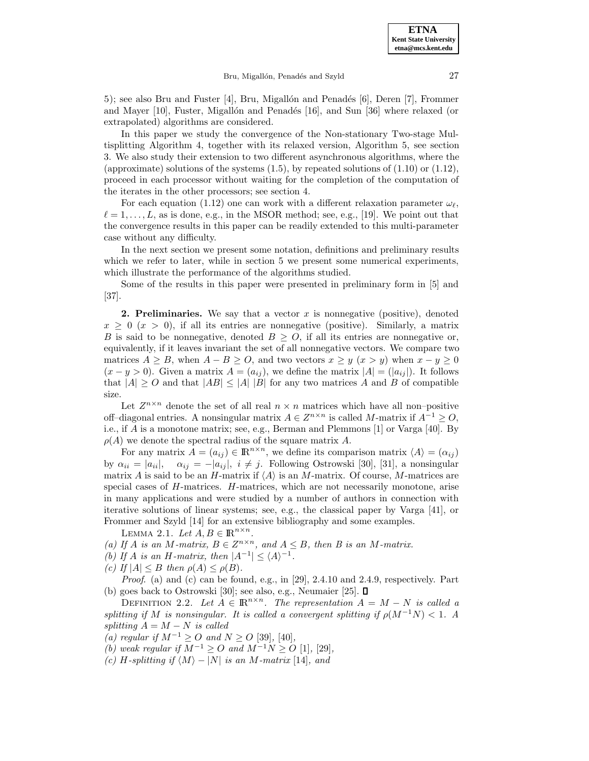5); see also Bru and Fuster  $[4]$ , Bru, Migallón and Penadés  $[6]$ , Deren  $[7]$ , Frommer and Mayer  $[10]$ , Fuster, Migallón and Penadés  $[16]$ , and Sun  $[36]$  where relaxed (or extrapolated) algorithms are considered.

In this paper we study the convergence of the Non-stationary Two-stage Multisplitting Algorithm 4, together with its relaxed version, Algorithm 5, see section 3. We also study their extension to two different asynchronous algorithms, where the (approximate) solutions of the systems  $(1.5)$ , by repeated solutions of  $(1.10)$  or  $(1.12)$ , proceed in each processor without waiting for the completion of the computation of the iterates in the other processors; see section 4.

For each equation (1.12) one can work with a different relaxation parameter  $\omega_{\ell}$ .  $\ell = 1,\ldots,L$ , as is done, e.g., in the MSOR method; see, e.g., [19]. We point out that the convergence results in this paper can be readily extended to this multi-parameter case without any difficulty.

In the next section we present some notation, definitions and preliminary results which we refer to later, while in section 5 we present some numerical experiments, which illustrate the performance of the algorithms studied.

Some of the results in this paper were presented in preliminary form in [5] and [37].

**2. Preliminaries.** We say that a vector  $x$  is nonnegative (positive), denoted  $x \geq 0 \ (x > 0)$ , if all its entries are nonnegative (positive). Similarly, a matrix B is said to be nonnegative, denoted  $B > 0$ , if all its entries are nonnegative or, equivalently, if it leaves invariant the set of all nonnegative vectors. We compare two matrices  $A \geq B$ , when  $A - B \geq O$ , and two vectors  $x \geq y$  ( $x > y$ ) when  $x - y \geq 0$  $(x - y > 0)$ . Given a matrix  $A = (a_{ij})$ , we define the matrix  $|A| = (|a_{ij}|)$ . It follows that  $|A| \geq 0$  and that  $|AB| \leq |A| |B|$  for any two matrices A and B of compatible size.

Let  $Z^{n \times n}$  denote the set of all real  $n \times n$  matrices which have all non-positive off–diagonal entries. A nonsingular matrix  $A \in \mathbb{Z}^{n \times n}$  is called M-matrix if  $A^{-1} \geq O$ , i.e., if A is a monotone matrix; see, e.g., Berman and Plemmons [1] or Varga [40]. By  $\rho(A)$  we denote the spectral radius of the square matrix A.

For any matrix  $A = (a_{ij}) \in \mathbb{R}^{n \times n}$ , we define its comparison matrix  $\langle A \rangle = (\alpha_{ij})$ by  $\alpha_{ii} = |a_{ii}|$ ,  $\alpha_{ij} = -|a_{ij}|$ ,  $i \neq j$ . Following Ostrowski [30], [31], a nonsingular matrix A is said to be an H-matrix if  $\langle A \rangle$  is an M-matrix. Of course, M-matrices are special cases of H-matrices. H-matrices, which are not necessarily monotone, arise in many applications and were studied by a number of authors in connection with iterative solutions of linear systems; see, e.g., the classical paper by Varga [41], or Frommer and Szyld [14] for an extensive bibliography and some examples.

LEMMA 2.1. Let  $A, B \in \mathbb{R}^{n \times n}$ .

- (a) If A is an M-matrix,  $B \in Z^{n \times n}$ , and  $A \leq B$ , then B is an M-matrix.
- (b) If A is an H-matrix, then  $|A^{-1}| \leq \langle A \rangle^{-1}$ .
- (c) If  $|A| \leq B$  then  $\rho(A) \leq \rho(B)$ .

*Proof.* (a) and (c) can be found, e.g., in [29], 2.4.10 and 2.4.9, respectively. Part (b) goes back to Ostrowski [30]; see also, e.g., Neumaier [25].  $\square$ 

DEFINITION 2.2. Let  $A \in \mathbb{R}^{n \times n}$ . The representation  $A = M - N$  is called a splitting if M is nonsingular. It is called a convergent splitting if  $\rho(M^{-1}N) < 1$ . A splitting  $A = M − N$  is called

- (a) regular if  $M^{-1} \geq O$  and  $N \geq O$  [39], [40],
- (b) weak regular if  $M^{-1} \geq O$  and  $M^{-1}N \geq O$  [1], [29],
- (c) H-splitting if  $\langle M \rangle$  − |N| is an M-matrix [14], and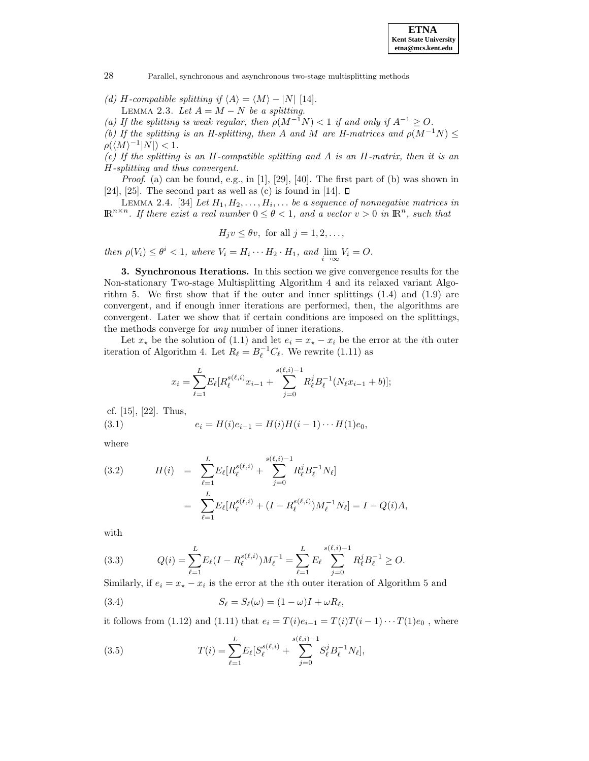(d) H-compatible splitting if  $\langle A \rangle = \langle M \rangle - |N|$  [14]. LEMMA 2.3. Let  $A = M - N$  be a splitting.

(a) If the splitting is weak regular, then  $\rho(M^{-1}N) < 1$  if and only if  $A^{-1} \geq O$ .

(b) If the splitting is an H-splitting, then A and M are H-matrices and  $\rho(M^{-1}N) \leq$  $\rho({\langle M \rangle^{-1}|N|}) < 1.$ 

(c) If the splitting is an H-compatible splitting and A is an H-matrix, then it is an H-splitting and thus convergent.

*Proof.* (a) can be found, e.g., in [1], [29], [40]. The first part of (b) was shown in [24], [25]. The second part as well as (c) is found in [14].  $\square$ 

LEMMA 2.4. [34] Let  $H_1, H_2, \ldots, H_i, \ldots$  be a sequence of nonnegative matrices in  $\mathbb{R}^{n \times n}$ . If there exist a real number  $0 \le \theta < 1$ , and a vector  $v > 0$  in  $\mathbb{R}^n$ , such that

 $H_i v \le \theta v$ , for all  $j = 1, 2, \ldots$ ,

then  $\rho(V_i) \leq \theta^i < 1$ , where  $V_i = H_i \cdots H_2 \cdot H_1$ , and  $\lim_{i \to \infty} V_i = O$ .

**3. Synchronous Iterations.** In this section we give convergence results for the Non-stationary Two-stage Multisplitting Algorithm 4 and its relaxed variant Algorithm 5. We first show that if the outer and inner splittings  $(1.4)$  and  $(1.9)$  are convergent, and if enough inner iterations are performed, then, the algorithms are convergent. Later we show that if certain conditions are imposed on the splittings, the methods converge for *any* number of inner iterations.

Let  $x_{\star}$  be the solution of (1.1) and let  $e_i = x_{\star} - x_i$  be the error at the *i*th outer iteration of Algorithm 4. Let  $R_{\ell} = B_{\ell}^{-1} C_{\ell}$ . We rewrite (1.11) as

$$
x_i = \sum_{\ell=1}^{L} E_{\ell} [R_{\ell}^{s(\ell,i)} x_{i-1} + \sum_{j=0}^{s(\ell,i)-1} R_{\ell}^{j} B_{\ell}^{-1} (N_{\ell} x_{i-1} + b)];
$$

cf. [15], [22]. Thus,

(3.1) 
$$
e_i = H(i)e_{i-1} = H(i)H(i-1)\cdots H(1)e_0,
$$

where

(3.2) 
$$
H(i) = \sum_{\ell=1}^{L} E_{\ell} [R_{\ell}^{s(\ell,i)} + \sum_{j=0}^{s(\ell,i)-1} R_{\ell}^{j} B_{\ell}^{-1} N_{\ell}]
$$

$$
= \sum_{\ell=1}^{L} E_{\ell} [R_{\ell}^{s(\ell,i)} + (I - R_{\ell}^{s(\ell,i)}) M_{\ell}^{-1} N_{\ell}] = I - Q(i)A,
$$

with

(3.3) 
$$
Q(i) = \sum_{\ell=1}^{L} E_{\ell}(I - R_{\ell}^{s(\ell,i)})M_{\ell}^{-1} = \sum_{\ell=1}^{L} E_{\ell} \sum_{j=0}^{s(\ell,i)-1} R_{\ell}^{j} B_{\ell}^{-1} \geq O.
$$

Similarly, if  $e_i = x_* - x_i$  is the error at the *i*th outer iteration of Algorithm 5 and

(3.4) 
$$
S_{\ell} = S_{\ell}(\omega) = (1 - \omega)I + \omega R_{\ell},
$$

it follows from (1.12) and (1.11) that  $e_i = T(i)e_{i-1} = T(i)T(i-1)\cdots T(1)e_0$ , where

(3.5) 
$$
T(i) = \sum_{\ell=1}^{L} E_{\ell} [S_{\ell}^{s(\ell,i)} + \sum_{j=0}^{s(\ell,i)-1} S_{\ell}^{j} B_{\ell}^{-1} N_{\ell}],
$$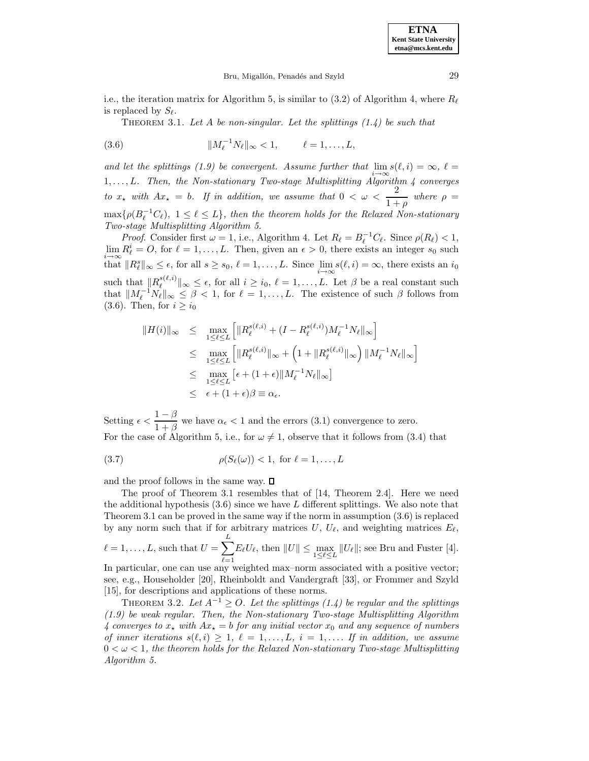**ETNA Kent State University etna@mcs.kent.edu**

i.e., the iteration matrix for Algorithm 5, is similar to (3.2) of Algorithm 4, where  $R_\ell$ is replaced by  $S_{\ell}$ .

THEOREM 3.1. Let A be non-singular. Let the splittings  $(1.4)$  be such that

(3.6) 
$$
||M_{\ell}^{-1}N_{\ell}||_{\infty} < 1, \qquad \ell = 1, ..., L,
$$

and let the splittings (1.9) be convergent. Assume further that  $\lim_{i \to \infty} s(\ell, i) = \infty$ ,  $\ell =$ 1,..., L. Then, the Non-stationary Two-stage Multisplitting Algorithm 4 converges to  $x_{\star}$  with  $Ax_{\star} = b$ . If in addition, we assume that  $0 < \omega < \frac{2}{1+b}$  $\frac{2}{1+\rho}$  where  $\rho =$  $\max\{\rho(B_{\ell}^{-1}C_{\ell}),\;1\leq\ell\leq L\},\;$  then the theorem holds for the Relaxed Non-stationary Two-stage Multisplitting Algorithm 5.

*Proof.* Consider first  $\omega = 1$ , i.e., Algorithm 4. Let  $R_{\ell} = B_{\ell}^{-1}C_{\ell}$ . Since  $\rho(R_{\ell}) < 1$ ,  $\lim_{\epsilon \to \infty} R^i_{\epsilon} = O$ , for  $\ell = 1, \ldots, L$ . Then, given an  $\epsilon > 0$ , there exists an integer s<sub>0</sub> such that  $||R_{\ell}^{s}||_{\infty} \leq \epsilon$ , for all  $s \geq s_0$ ,  $\ell = 1, \ldots, L$ . Since  $\lim_{i \to \infty} s(\ell, i) = \infty$ , there exists an  $i_0$ such that  $||R_{\ell}^{s(\ell,i)}||_{\infty} \leq \epsilon$ , for all  $i \geq i_0$ ,  $\ell = 1,\ldots,L$ . Let  $\beta$  be a real constant such that  $||M_{\ell}^{-1}N_{\ell}||_{\infty} \leq \beta < 1$ , for  $\ell = 1,\ldots,L$ . The existence of such  $\beta$  follows from (3.6). Then, for  $i \geq i_0$ 

$$
||H(i)||_{\infty} \leq \max_{1 \leq \ell \leq L} \left[ ||R_{\ell}^{s(\ell,i)} + (I - R_{\ell}^{s(\ell,i)})M_{\ell}^{-1}N_{\ell}||_{\infty} \right]
$$
  

$$
\leq \max_{1 \leq \ell \leq L} \left[ ||R_{\ell}^{s(\ell,i)}||_{\infty} + \left(1 + ||R_{\ell}^{s(\ell,i)}||_{\infty}\right) ||M_{\ell}^{-1}N_{\ell}||_{\infty} \right]
$$
  

$$
\leq \max_{1 \leq \ell \leq L} \left[ \epsilon + (1 + \epsilon) ||M_{\ell}^{-1}N_{\ell}||_{\infty} \right]
$$
  

$$
\leq \epsilon + (1 + \epsilon)\beta \equiv \alpha_{\epsilon}.
$$

Setting  $\epsilon < \frac{1-\beta}{1+\beta}$  we have  $\alpha_{\epsilon} < 1$  and the errors (3.1) convergence to zero. For the case of Algorithm 5, i.e., for  $\omega \neq 1$ , observe that it follows from (3.4) that

$$
\rho(S_{\ell}(\omega)) < 1, \text{ for } \ell = 1, \dots, L
$$

and the proof follows in the same way.  $\square$ 

The proof of Theorem 3.1 resembles that of [14, Theorem 2.4]. Here we need the additional hypothesis  $(3.6)$  since we have L different splittings. We also note that Theorem 3.1 can be proved in the same way if the norm in assumption (3.6) is replaced by any norm such that if for arbitrary matrices  $U, U_{\ell}$ , and weighting matrices  $E_{\ell}$ ,  $\ell = 1, \ldots, L$ , such that  $U = \sum_{i=1}^{L}$  $_{\ell=1}$  $E_{\ell}U_{\ell}$ , then  $||U|| \le \max_{1 \le \ell \le L} ||U_{\ell}||$ ; see Bru and Fuster [4]. In particular, one can use any weighted max–norm associated with a positive vector; see, e.g., Householder [20], Rheinboldt and Vandergraft [33], or Frommer and Szyld [15], for descriptions and applications of these norms.

THEOREM 3.2. Let  $A^{-1} \geq O$ . Let the splittings (1.4) be regular and the splittings (1.9) be weak regular. Then, the Non-stationary Two-stage Multisplitting Algorithm 4 converges to  $x_{\star}$  with  $Ax_{\star} = b$  for any initial vector  $x_0$  and any sequence of numbers of inner iterations  $s(\ell,i) \geq 1, \ell = 1,\ldots,L, i = 1,\ldots$  If in addition, we assume  $0 < \omega < 1$ , the theorem holds for the Relaxed Non-stationary Two-stage Multisplitting Algorithm 5.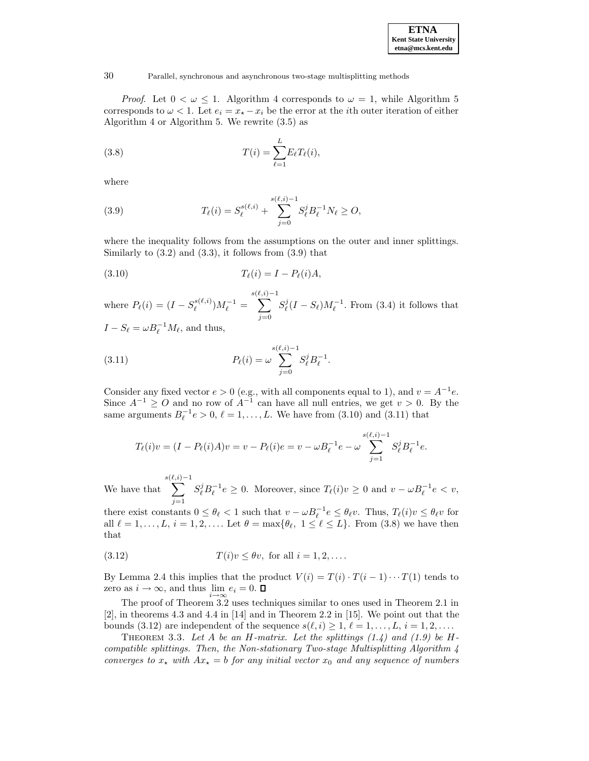

*Proof.* Let  $0 < \omega \leq 1$ . Algorithm 4 corresponds to  $\omega = 1$ , while Algorithm 5 corresponds to  $\omega < 1$ . Let  $e_i = x_* - x_i$  be the error at the *i*th outer iteration of either Algorithm 4 or Algorithm 5. We rewrite (3.5) as

(3.8) 
$$
T(i) = \sum_{\ell=1}^{L} E_{\ell} T_{\ell}(i),
$$

where

(3.9) 
$$
T_{\ell}(i) = S_{\ell}^{s(\ell,i)} + \sum_{j=0}^{s(\ell,i)-1} S_{\ell}^{j} B_{\ell}^{-1} N_{\ell} \geq O,
$$

where the inequality follows from the assumptions on the outer and inner splittings. Similarly to  $(3.2)$  and  $(3.3)$ , it follows from  $(3.9)$  that

$$
(3.10) \t\t T\ell(i) = I - P\ell(i)A,
$$

where  $P_{\ell}(i) = (I - S_{\ell}^{s(\ell,i)})M_{\ell}^{-1} =$  $\sum^{s(\ell,i)-1}$  $j=0$  $S_{\ell}^{j}(I - S_{\ell})M_{\ell}^{-1}$ . From (3.4) it follows that

 $I - S_{\ell} = \omega B_{\ell}^{-1} M_{\ell}$ , and thus,

(3.11) 
$$
P_{\ell}(i) = \omega \sum_{j=0}^{s(\ell,i)-1} S_{\ell}^{j} B_{\ell}^{-1}.
$$

Consider any fixed vector  $e > 0$  (e.g., with all components equal to 1), and  $v = A^{-1}e$ . Since  $A^{-1} \geq O$  and no row of  $A^{-1}$  can have all null entries, we get  $v > 0$ . By the same arguments  $B_{\ell}^{-1}e > 0$ ,  $\ell = 1, \ldots, L$ . We have from (3.10) and (3.11) that

$$
T_{\ell}(i)v = (I - P_{\ell}(i)A)v = v - P_{\ell}(i)e = v - \omega B_{\ell}^{-1}e - \omega \sum_{j=1}^{s(\ell,i)-1} S_{\ell}^{j}B_{\ell}^{-1}e.
$$

We have that  $\sum^{s(\ell,i)-1}$  $j=1$  $S_{\ell}^{j} B_{\ell}^{-1} e \geq 0$ . Moreover, since  $T_{\ell}(i)v \geq 0$  and  $v - \omega B_{\ell}^{-1} e < v$ ,

there exist constants  $0 \le \theta_\ell < 1$  such that  $v - \omega B_\ell^{-1} e \le \theta_\ell v$ . Thus,  $T_\ell(i)v \le \theta_\ell v$  for all  $\ell = 1,\ldots,L, i = 1, 2,\ldots$  Let  $\theta = \max{\lbrace \theta_\ell, 1 \leq \ell \leq L \rbrace}$ . From (3.8) we have then that

$$
(3.12) \t\t T(i)v \le \theta v, \text{ for all } i = 1, 2, \dots.
$$

By Lemma 2.4 this implies that the product  $V(i) = T(i) \cdot T(i-1) \cdots T(1)$  tends to zero as  $i \to \infty$ , and thus  $\lim_{i \to \infty} e_i = 0$ .

The proof of Theorem 3.2 uses techniques similar to ones used in Theorem 2.1 in [2], in theorems 4.3 and 4.4 in [14] and in Theorem 2.2 in [15]. We point out that the bounds (3.12) are independent of the sequence  $s(\ell,i) \geq 1, \ell = 1,\ldots,L, i = 1,2,\ldots$ .

THEOREM 3.3. Let A be an H-matrix. Let the splittings  $(1.4)$  and  $(1.9)$  be Hcompatible splittings. Then, the Non-stationary Two-stage Multisplitting Algorithm 4 converges to  $x_{\star}$  with  $Ax_{\star} = b$  for any initial vector  $x_0$  and any sequence of numbers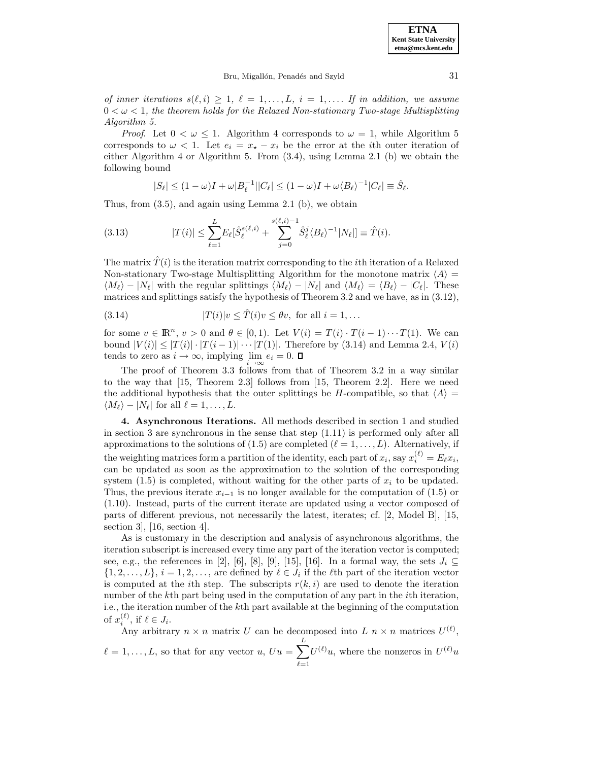**ETNA Kent State University etna@mcs.kent.edu**

of inner iterations  $s(\ell,i) \geq 1, \ell = 1,\ldots,L, i = 1,\ldots$  If in addition, we assume  $0 < \omega < 1$ , the theorem holds for the Relaxed Non-stationary Two-stage Multisplitting Algorithm 5.

*Proof.* Let  $0 < \omega \leq 1$ . Algorithm 4 corresponds to  $\omega = 1$ , while Algorithm 5 corresponds to  $\omega < 1$ . Let  $e_i = x_{\star} - x_i$  be the error at the *i*th outer iteration of either Algorithm 4 or Algorithm 5. From (3.4), using Lemma 2.1 (b) we obtain the following bound

$$
|S_{\ell}| \leq (1-\omega)I + \omega|B_{\ell}^{-1}||C_{\ell}| \leq (1-\omega)I + \omega\langle B_{\ell}\rangle^{-1}|C_{\ell}| \equiv \hat{S}_{\ell}.
$$

Thus, from (3.5), and again using Lemma 2.1 (b), we obtain

(3.13) 
$$
|T(i)| \leq \sum_{\ell=1}^{L} E_{\ell} [\hat{S}_{\ell}^{s(\ell,i)} + \sum_{j=0}^{s(\ell,i)-1} \hat{S}_{\ell}^{j} \langle B_{\ell} \rangle^{-1} |N_{\ell}|] \equiv \hat{T}(i).
$$

The matrix  $\hat{T}(i)$  is the iteration matrix corresponding to the *i*th iteration of a Relaxed Non-stationary Two-stage Multisplitting Algorithm for the monotone matrix  $\langle A \rangle$  =  $\langle M_\ell \rangle - |N_\ell|$  with the regular splittings  $\langle M_\ell \rangle - |N_\ell|$  and  $\langle M_\ell \rangle = \langle B_\ell \rangle - |C_\ell|$ . These matrices and splittings satisfy the hypothesis of Theorem 3.2 and we have, as in (3.12),

(3.14) 
$$
|T(i)|v \leq \hat{T}(i)v \leq \theta v, \text{ for all } i = 1, ...
$$

for some  $v \in \mathbb{R}^n$ ,  $v > 0$  and  $\theta \in [0, 1)$ . Let  $V(i) = T(i) \cdot T(i-1) \cdot \cdot \cdot T(1)$ . We can bound  $|V(i)| \leq |T(i)| \cdot |T(i-1)| \cdots |T(1)|$ . Therefore by (3.14) and Lemma 2.4,  $V(i)$ tends to zero as  $i \to \infty$ , implying lim  $e_i = 0$ .  $\Box$ 

The proof of Theorem 3.3 follows from that of Theorem 3.2 in a way similar to the way that [15, Theorem 2.3] follows from [15, Theorem 2.2]. Here we need the additional hypothesis that the outer splittings be H-compatible, so that  $\langle A \rangle =$  $\langle M_\ell \rangle - |N_\ell|$  for all  $\ell = 1,\ldots,L$ .

**4. Asynchronous Iterations.** All methods described in section 1 and studied in section 3 are synchronous in the sense that step (1.11) is performed only after all approximations to the solutions of (1.5) are completed  $(\ell = 1, \ldots, L)$ . Alternatively, if the weighting matrices form a partition of the identity, each part of  $x_i$ , say  $x_i^{(\ell)} = E_\ell x_i$ , can be updated as soon as the approximation to the solution of the corresponding system  $(1.5)$  is completed, without waiting for the other parts of  $x_i$  to be updated. Thus, the previous iterate  $x_{i-1}$  is no longer available for the computation of (1.5) or (1.10). Instead, parts of the current iterate are updated using a vector composed of parts of different previous, not necessarily the latest, iterates; cf. [2, Model B], [15, section 3], [16, section 4].

As is customary in the description and analysis of asynchronous algorithms, the iteration subscript is increased every time any part of the iteration vector is computed; see, e.g., the references in [2], [6], [8], [9], [15], [16]. In a formal way, the sets  $J_i \subseteq$  $\{1, 2, \ldots, L\}, i = 1, 2, \ldots$ , are defined by  $\ell \in J_i$  if the  $\ell$ th part of the iteration vector is computed at the *i*th step. The subscripts  $r(k,i)$  are used to denote the iteration number of the kth part being used in the computation of any part in the *i*th iteration, i.e., the iteration number of the kth part available at the beginning of the computation of  $x_i^{(\ell)}$ , if  $\ell \in J_i$ .

Any arbitrary  $n \times n$  matrix U can be decomposed into L  $n \times n$  matrices  $U^{(\ell)}$ ,  $\ell = 1, \ldots, L$ , so that for any vector  $u, Uu = \sum_{i=1}^{L}$  $_{\ell=1}$  $U^{(\ell)}u$ , where the nonzeros in  $U^{(\ell)}u$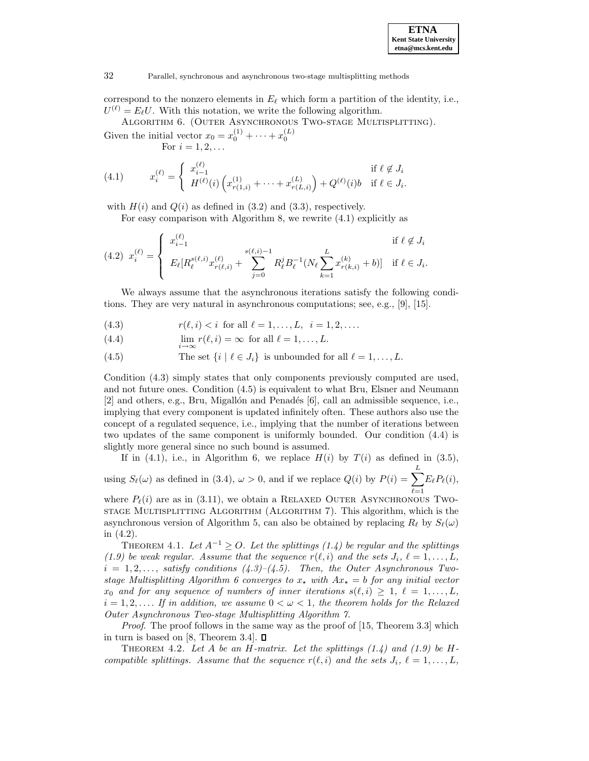correspond to the nonzero elements in  $E_\ell$  which form a partition of the identity, i.e.,  $U^{(\ell)} = E_{\ell}U$ . With this notation, we write the following algorithm.

Algorithm 6. (Outer Asynchronous Two-stage Multisplitting). Given the initial vector  $x_0 = x_0^{(1)} + \cdots + x_0^{(L)}$ 

For  $i = 1, 2, ...$ 

(4.1) 
$$
x_i^{(\ell)} = \begin{cases} x_{i-1}^{(\ell)} & \text{if } \ell \notin J_i \\ H^{(\ell)}(i) \left( x_{r(1,i)}^{(1)} + \dots + x_{r(L,i)}^{(L)} \right) + Q^{(\ell)}(i)b & \text{if } \ell \in J_i. \end{cases}
$$

with  $H(i)$  and  $Q(i)$  as defined in (3.2) and (3.3), respectively.

For easy comparison with Algorithm 8, we rewrite (4.1) explicitly as

$$
(4.2) \ \ x_i^{(\ell)} = \begin{cases} \ x_{i-1}^{(\ell)} & \text{if } \ell \notin J_i \\ E_{\ell}[R_{\ell}^{s(\ell,i)}x_{r(\ell,i)}^{(\ell)} + \sum_{j=0}^{s(\ell,i)-1} R_{\ell}^j B_{\ell}^{-1}(N_{\ell} \sum_{k=1}^L x_{r(k,i)}^{(k)} + b)] & \text{if } \ell \in J_i. \end{cases}
$$

We always assume that the asynchronous iterations satisfy the following conditions. They are very natural in asynchronous computations; see, e.g., [9], [15].

(4.3) 
$$
r(\ell, i) < i
$$
 for all  $\ell = 1, ..., L, i = 1, 2, ...$ 

(4.4) 
$$
\lim_{i \to \infty} r(\ell, i) = \infty \text{ for all } \ell = 1, ..., L.
$$

(4.5) The set  $\{i \mid \ell \in J_i\}$  is unbounded for all  $\ell = 1,\ldots,L$ .

Condition (4.3) simply states that only components previously computed are used, and not future ones. Condition (4.5) is equivalent to what Bru, Elsner and Neumann  $[2]$  and others, e.g., Bru, Migallón and Penadés  $[6]$ , call an admissible sequence, i.e., implying that every component is updated infinitely often. These authors also use the concept of a regulated sequence, i.e., implying that the number of iterations between two updates of the same component is uniformly bounded. Our condition (4.4) is slightly more general since no such bound is assumed.

If in (4.1), i.e., in Algorithm 6, we replace  $H(i)$  by  $T(i)$  as defined in (3.5), using  $S_{\ell}(\omega)$  as defined in (3.4),  $\omega > 0$ , and if we replace  $Q(i)$  by  $P(i) = \sum_{i=1}^{L}$  $_{\ell=1}$  $E_{\ell}P_{\ell}(i),$ 

where  $P_{\ell}(i)$  are as in (3.11), we obtain a RELAXED OUTER ASYNCHRONOUS TWOstage Multisplitting Algorithm (Algorithm 7). This algorithm, which is the asynchronous version of Algorithm 5, can also be obtained by replacing  $R_\ell$  by  $S_\ell(\omega)$ in (4.2).

THEOREM 4.1. Let  $A^{-1} > O$ . Let the splittings (1.4) be regular and the splittings (1.9) be weak regular. Assume that the sequence  $r(\ell,i)$  and the sets  $J_i, \ell = 1,\ldots,L$ ,  $i = 1, 2, \ldots$ , satisfy conditions  $(4.3)$ – $(4.5)$ . Then, the Outer Asynchronous Twostage Multisplitting Algorithm 6 converges to  $x_{\star}$  with  $Ax_{\star} = b$  for any initial vector  $x_0$  and for any sequence of numbers of inner iterations  $s(\ell,i) \geq 1, \ell = 1,\ldots,L$ ,  $i = 1, 2, \ldots$  If in addition, we assume  $0 < \omega < 1$ , the theorem holds for the Relaxed Outer Asynchronous Two-stage Multisplitting Algorithm 7.

*Proof.* The proof follows in the same way as the proof of  $[15,$  Theorem 3.3 which in turn is based on [8, Theorem 3.4].  $\square$ 

THEOREM 4.2. Let A be an H-matrix. Let the splittings  $(1.4)$  and  $(1.9)$  be Hcompatible splittings. Assume that the sequence  $r(\ell,i)$  and the sets  $J_i, \ell = 1,\ldots,L$ ,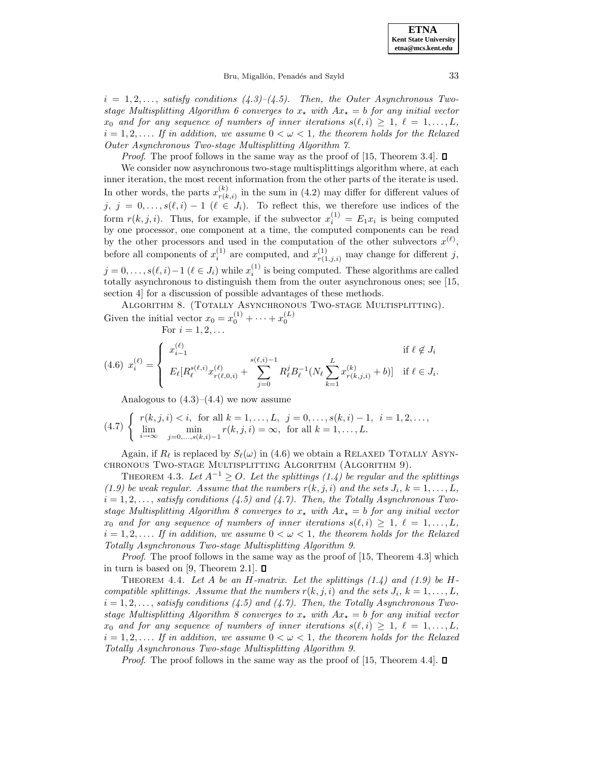**ETNA Kent State University etna@mcs.kent.edu**

#### Bru, Migallón, Penadés and Szyld 33

 $i = 1, 2, \ldots$ , satisfy conditions  $(4.3)$ – $(4.5)$ . Then, the Outer Asynchronous Twostage Multisplitting Algorithm 6 converges to  $x_{\star}$  with  $Ax_{\star} = b$  for any initial vector  $x_0$  and for any sequence of numbers of inner iterations  $s(\ell,i) \geq 1, \ell = 1,\ldots,L$ ,  $i = 1, 2, \ldots$  If in addition, we assume  $0 < \omega < 1$ , the theorem holds for the Relaxed Outer Asynchronous Two-stage Multisplitting Algorithm 7.

*Proof.* The proof follows in the same way as the proof of [15, Theorem 3.4].  $\Box$ 

We consider now asynchronous two-stage multisplittings algorithm where, at each inner iteration, the most recent information from the other parts of the iterate is used. In other words, the parts  $x_{r(k,i)}^{(k)}$  in the sum in (4.2) may differ for different values of  $j, j = 0, \ldots, s(\ell, i) - 1 \; (\ell \in J_i)$ . To reflect this, we therefore use indices of the form  $r(k, j, i)$ . Thus, for example, if the subvector  $x_i^{(1)} = E_1 x_i$  is being computed by one processor, one component at a time, the computed components can be read by the other processors and used in the computation of the other subvectors  $x^{(\ell)}$ , before all components of  $x_i^{(1)}$  are computed, and  $x_{r(1,j,i)}^{(1)}$  may change for different j,  $j = 0, \ldots, s(\ell, i) - 1 \ (\ell \in J_i)$  while  $x_i^{(1)}$  is being computed. These algorithms are called totally asynchronous to distinguish them from the outer asynchronous ones; see [15, section 4] for a discussion of possible advantages of these methods.

ALGORITHM 8. (TOTALLY ASYNCHRONOUS TWO-STAGE MULTISPLITTING). Given the initial vector  $x_0 = x_0^{(1)} + \cdots + x_0^{(L)}$ <br>For  $i = 1, 2, \ldots$ 

For 
$$
i = 1, 2, ...
$$

$$
(4.6) \ \ x_i^{(\ell)} = \begin{cases} \ x_{i-1}^{(\ell)} & \text{if } \ell \notin J_i \\ \ E_{\ell}[R_{\ell}^{s(\ell,i)}x_{r(\ell,0,i)}^{(\ell)} + \sum_{j=0}^{s(\ell,i)-1} R_{\ell}^j B_{\ell}^{-1}(N_{\ell} \sum_{k=1}^L x_{r(k,j,i)}^{(k)} + b)] & \text{if } \ell \in J_i. \end{cases}
$$

Analogous to  $(4.3)$ – $(4.4)$  we now assume

$$
(4.7) \begin{cases} r(k,j,i) < i, \text{ for all } k = 1,\dots, L, \ j = 0,\dots, s(k,i) - 1, \ i = 1,2,\dots, \\ \lim_{i \to \infty} \min_{j=0,\dots,s(k,i)-1} r(k,j,i) = \infty, \text{ for all } k = 1,\dots, L. \end{cases}
$$

Again, if  $R_\ell$  is replaced by  $S_\ell(\omega)$  in (4.6) we obtain a RELAXED TOTALLY ASYNchronous Two-stage Multisplitting Algorithm (Algorithm 9).

THEOREM 4.3. Let  $A^{-1} \geq O$ . Let the splittings (1.4) be regular and the splittings (1.9) be weak regular. Assume that the numbers  $r(k, j, i)$  and the sets  $J_i$ ,  $k = 1, \ldots, L$ ,  $i = 1, 2, \ldots$ , satisfy conditions (4.5) and (4.7). Then, the Totally Asynchronous Twostage Multisplitting Algorithm 8 converges to  $x_{\star}$  with  $Ax_{\star} = b$  for any initial vector  $x_0$  and for any sequence of numbers of inner iterations  $s(\ell,i) \geq 1, \ell = 1,\ldots,L$ ,  $i = 1, 2, \ldots$  If in addition, we assume  $0 < \omega < 1$ , the theorem holds for the Relaxed Totally Asynchronous Two-stage Multisplitting Algorithm 9.

Proof. The proof follows in the same way as the proof of [15, Theorem 4.3] which in turn is based on [9, Theorem 2.1].  $\square$ 

THEOREM 4.4. Let A be an H-matrix. Let the splittings  $(1.4)$  and  $(1.9)$  be Hcompatible splittings. Assume that the numbers  $r(k, j, i)$  and the sets  $J_i$ ,  $k = 1, \ldots, L$ ,  $i = 1, 2, \ldots$ , satisfy conditions (4.5) and (4.7). Then, the Totally Asynchronous Twostage Multisplitting Algorithm 8 converges to  $x_{\star}$  with  $Ax_{\star} = b$  for any initial vector  $x_0$  and for any sequence of numbers of inner iterations  $s(\ell,i) \geq 1, \ell = 1,\ldots,L$ ,  $i = 1, 2, \ldots$  If in addition, we assume  $0 < \omega < 1$ , the theorem holds for the Relaxed Totally Asynchronous Two-stage Multisplitting Algorithm 9.

*Proof.* The proof follows in the same way as the proof of [15, Theorem 4.4].  $\square$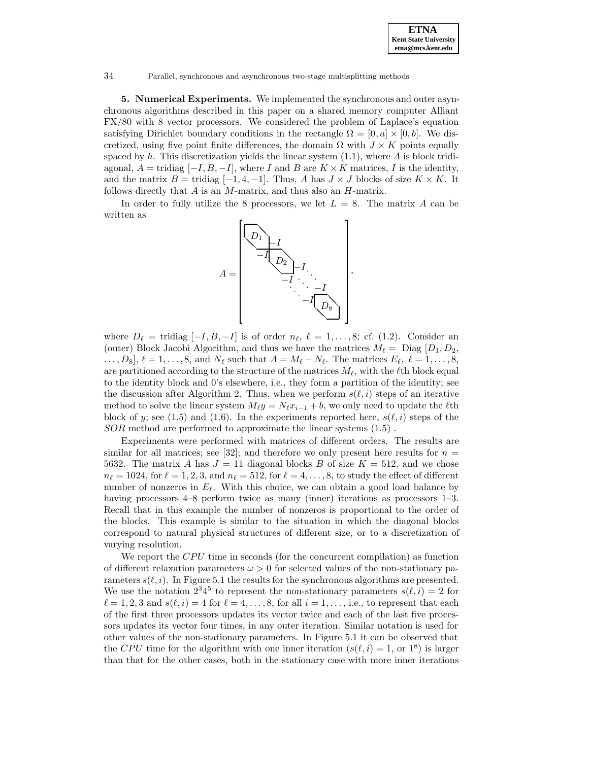**5. Numerical Experiments.** We implemented the synchronous and outer asynchronous algorithms described in this paper on a shared memory computer Alliant FX/80 with 8 vector processors. We considered the problem of Laplace's equation satisfying Dirichlet boundary conditions in the rectangle  $\Omega = [0, a] \times [0, b]$ . We discretized, using five point finite differences, the domain  $\Omega$  with  $J \times K$  points equally spaced by h. This discretization yields the linear system  $(1.1)$ , where A is block tridiagonal,  $A = \text{tridiag } [-I, B, -I]$ , where I and B are  $K \times K$  matrices, I is the identity, and the matrix  $B = \text{tridiag } [-1, 4, -1]$ . Thus, A has  $J \times J$  blocks of size  $K \times K$ . It follows directly that  $A$  is an  $M$ -matrix, and thus also an  $H$ -matrix.

In order to fully utilize the 8 processors, we let  $L = 8$ . The matrix A can be written as



where  $D_\ell = \text{tridiag } [-I, B, -I]$  is of order  $n_\ell, \ell = 1, \ldots, 8$ ; cf. (1.2). Consider an (outer) Block Jacobi Algorithm, and thus we have the matrices  $M_{\ell} =$  Diag  $[D_1,D_2,$  $\ldots, D_8$ ,  $\ell = 1, \ldots, 8$ , and  $N_{\ell}$  such that  $A = M_{\ell} - N_{\ell}$ . The matrices  $E_{\ell}, \ell = 1, \ldots, 8$ , are partitioned according to the structure of the matrices  $M_\ell$ , with the  $\ell$ th block equal to the identity block and 0's elsewhere, i.e., they form a partition of the identity; see the discussion after Algorithm 2. Thus, when we perform  $s(\ell,i)$  steps of an iterative method to solve the linear system  $M_{\ell}y = N_{\ell}x_{i-1} + b$ , we only need to update the  $\ell$ th block of y; see (1.5) and (1.6). In the experiments reported here,  $s(\ell, i)$  steps of the SOR method are performed to approximate the linear systems (1.5) .

Experiments were performed with matrices of different orders. The results are similar for all matrices; see [32]; and therefore we only present here results for  $n =$ 5632. The matrix A has  $J = 11$  diagonal blocks B of size  $K = 512$ , and we chose  $n_{\ell} = 1024$ , for  $\ell = 1, 2, 3$ , and  $n_{\ell} = 512$ , for  $\ell = 4, \ldots, 8$ , to study the effect of different number of nonzeros in  $E_\ell$ . With this choice, we can obtain a good load balance by having processors 4–8 perform twice as many (inner) iterations as processors 1–3. Recall that in this example the number of nonzeros is proportional to the order of the blocks. This example is similar to the situation in which the diagonal blocks correspond to natural physical structures of different size, or to a discretization of varying resolution.

We report the CPU time in seconds (for the concurrent compilation) as function of different relaxation parameters  $\omega > 0$  for selected values of the non-stationary parameters  $s(\ell,i)$ . In Figure 5.1 the results for the synchronous algorithms are presented. We use the notation  $2^3 4^5$  to represent the non-stationary parameters  $s(\ell,i) = 2$  for  $\ell = 1, 2, 3$  and  $s(\ell, i) = 4$  for  $\ell = 4, \ldots, 8$ , for all  $i = 1, \ldots$ , i.e., to represent that each of the first three processors updates its vector twice and each of the last five processors updates its vector four times, in any outer iteration. Similar notation is used for other values of the non-stationary parameters. In Figure 5.1 it can be observed that the CPU time for the algorithm with one inner iteration  $(s(\ell,i) = 1, \text{ or } 1^8)$  is larger than that for the other cases, both in the stationary case with more inner iterations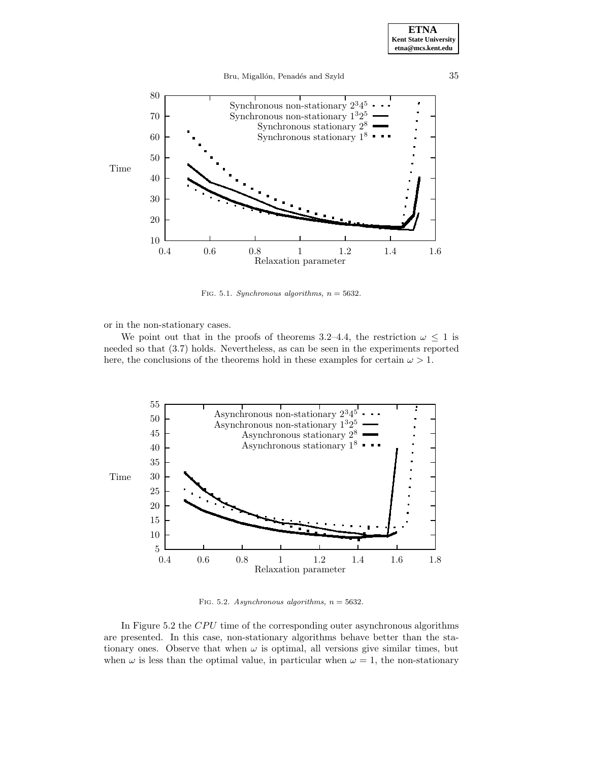



FIG. 5.1. Synchronous algorithms,  $n = 5632$ .

or in the non-stationary cases.

We point out that in the proofs of theorems 3.2–4.4, the restriction  $\omega \leq 1$  is needed so that (3.7) holds. Nevertheless, as can be seen in the experiments reported here, the conclusions of the theorems hold in these examples for certain  $\omega > 1$ .



FIG. 5.2. Asynchronous algorithms,  $n = 5632$ .

In Figure 5.2 the CPU time of the corresponding outer asynchronous algorithms are presented. In this case, non-stationary algorithms behave better than the stationary ones. Observe that when  $\omega$  is optimal, all versions give similar times, but when  $\omega$  is less than the optimal value, in particular when  $\omega = 1$ , the non-stationary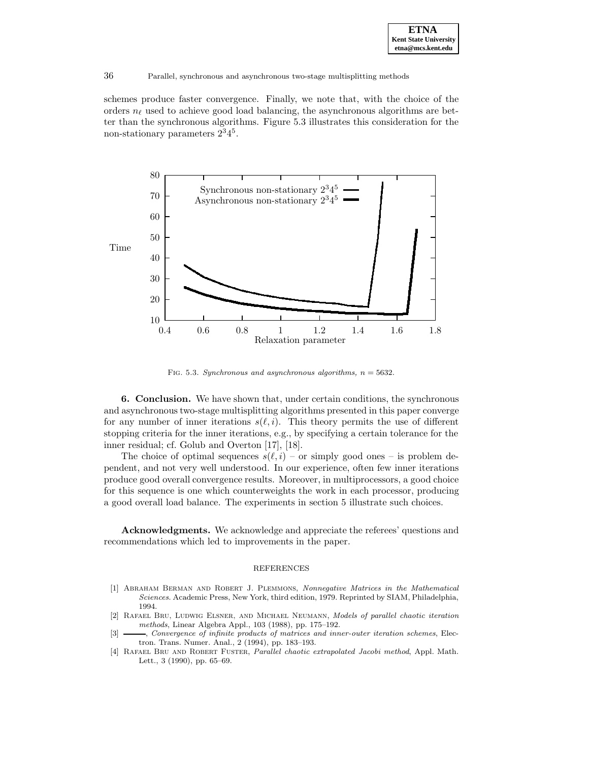schemes produce faster convergence. Finally, we note that, with the choice of the orders  $n_\ell$  used to achieve good load balancing, the asynchronous algorithms are better than the synchronous algorithms. Figure 5.3 illustrates this consideration for the non-stationary parameters  $2^3 4^5$ .



FIG. 5.3. Synchronous and asynchronous algorithms,  $n = 5632$ .

**6. Conclusion.** We have shown that, under certain conditions, the synchronous and asynchronous two-stage multisplitting algorithms presented in this paper converge for any number of inner iterations  $s(\ell,i)$ . This theory permits the use of different stopping criteria for the inner iterations, e.g., by specifying a certain tolerance for the inner residual; cf. Golub and Overton [17], [18].

The choice of optimal sequences  $s(\ell,i)$  – or simply good ones – is problem dependent, and not very well understood. In our experience, often few inner iterations produce good overall convergence results. Moreover, in multiprocessors, a good choice for this sequence is one which counterweights the work in each processor, producing a good overall load balance. The experiments in section 5 illustrate such choices.

**Acknowledgments.** We acknowledge and appreciate the referees' questions and recommendations which led to improvements in the paper.

# REFERENCES

- [1] Abraham Berman and Robert J. Plemmons, Nonnegative Matrices in the Mathematical Sciences. Academic Press, New York, third edition, 1979. Reprinted by SIAM, Philadelphia, 1994.
- [2] Rafael Bru, Ludwig Elsner, and Michael Neumann, Models of parallel chaotic iteration methods, Linear Algebra Appl., 103 (1988), pp. 175–192.
- [3]  $\_\_\_\_\$ convergence of infinite products of matrices and inner-outer iteration schemes, Electron. Trans. Numer. Anal., 2 (1994), pp. 183–193.
- [4] Rafael Bru and Robert Fuster, Parallel chaotic extrapolated Jacobi method, Appl. Math. Lett., 3 (1990), pp. 65–69.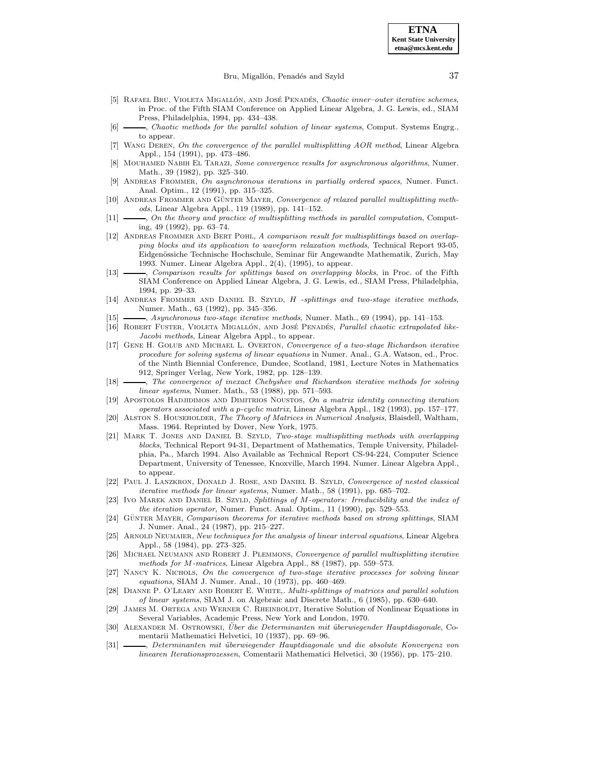# Bru, Migallón, Penadés and Szyld 37

- [5] RAFAEL BRU, VIOLETA MIGALLÓN, AND JOSÉ PENADÉS, Chaotic inner-outer iterative schemes, in Proc. of the Fifth SIAM Conference on Applied Linear Algebra, J. G. Lewis, ed., SIAM Press, Philadelphia, 1994, pp. 434–438.
- [6] , Chaotic methods for the parallel solution of linear systems, Comput. Systems Engrg., to appear.
- [7] Wang Deren, On the convergence of the parallel multisplitting AOR method, Linear Algebra Appl., 154 (1991), pp. 473–486.
- [8] Mouhamed Nabih El Tarazi, Some convergence results for asynchronous algorithms, Numer. Math., 39 (1982), pp. 325–340.
- [9] Andreas Frommer, On asynchronous iterations in partially ordered spaces, Numer. Funct. Anal. Optim., 12 (1991), pp. 315–325.
- [10] ANDREAS FROMMER AND GÜNTER MAYER, Convergence of relaxed parallel multisplitting methods, Linear Algebra Appl., 119 (1989), pp. 141–152.
- [11]  $\_\_\_\_\_$  On the theory and practice of multisplitting methods in parallel computation, Computing, 49 (1992), pp. 63–74.
- [12] ANDREAS FROMMER AND BERT POHL, A comparison result for multisplittings based on overlapping blocks and its application to waveform relaxation methods, Technical Report 93-05, Eidgenössiche Technische Hochschule, Seminar für Angewandte Mathematik, Zurich, May 1993. Numer. Linear Algebra Appl., 2(4), (1995), to appear.
- [13]  $\longrightarrow$ , Comparison results for splittings based on overlapping blocks, in Proc. of the Fifth SIAM Conference on Applied Linear Algebra, J. G. Lewis, ed., SIAM Press, Philadelphia, 1994, pp. 29–33.
- [14] ANDREAS FROMMER AND DANIEL B. SZYLD, H -splittings and two-stage iterative methods, Numer. Math., 63 (1992), pp. 345–356.
- [15]  $\_\_\_\_\$  Asynchronous two-stage iterative methods, Numer. Math., 69 (1994), pp. 141–153.
- [16] ROBERT FUSTER, VIOLETA MIGALLÓN, AND JOSÉ PENADÉS, Parallel chaotic extrapolated like-Jacobi methods, Linear Algebra Appl., to appear.
- [17] GENE H. GOLUB AND MICHAEL L. OVERTON, Convergence of a two-stage Richardson iterative procedure for solving systems of linear equations in Numer. Anal., G.A. Watson, ed., Proc. of the Ninth Biennial Conference, Dundee, Scotland, 1981, Lecture Notes in Mathematics 912, Springer Verlag, New York, 1982, pp. 128–139.
- [18]  $\longrightarrow$ , The convergence of inexact Chebyshev and Richardson iterative methods for solving linear systems, Numer. Math., 53 (1988), pp. 571–593.
- [19] Apostolos Hadjidimos and Dimitrios Noustos, On a matrix identity connecting iteration operators associated with a p-cyclic matrix, Linear Algebra Appl., 182 (1993), pp. 157–177.
- [20] ALSTON S. HOUSEHOLDER, The Theory of Matrices in Numerical Analysis, Blaisdell, Waltham, Mass. 1964. Reprinted by Dover, New York, 1975.
- [21] Mark T. Jones and Daniel B. Szyld, Two-stage multisplitting methods with overlapping blocks, Technical Report 94-31, Department of Mathematics, Temple University, Philadelphia, Pa., March 1994. Also Available as Technical Report CS-94-224, Computer Science Department, University of Tenessee, Knoxville, March 1994. Numer. Linear Algebra Appl., to appear.
- [22] PAUL J. LANZKRON, DONALD J. ROSE, AND DANIEL B. SZYLD, Convergence of nested classical iterative methods for linear systems, Numer. Math., 58 (1991), pp. 685–702.
- [23] IVO MAREK AND DANIEL B. SZYLD, Splittings of M-operators: Irreducibility and the index of the iteration operator, Numer. Funct. Anal. Optim., 11 (1990), pp. 529–553.
- [24] GÜNTER MAYER, Comparison theorems for iterative methods based on strong splittings, SIAM J. Numer. Anal., 24 (1987), pp. 215–227.
- [25] ARNOLD NEUMAIER, New techniques for the analysis of linear interval equations, Linear Algebra Appl., 58 (1984), pp. 273–325.
- [26] MICHAEL NEUMANN AND ROBERT J. PLEMMONS, Convergence of parallel multisplitting iterative methods for M-matrices, Linear Algebra Appl., 88 (1987), pp. 559–573.
- [27] Nancy K. Nichols, On the convergence of two-stage iterative processes for solving linear equations, SIAM J. Numer. Anal., 10 (1973), pp. 460–469.
- [28] DIANNE P. O'LEARY AND ROBERT E. WHITE,. Multi-splittings of matrices and parallel solution of linear systems, SIAM J. on Algebraic and Discrete Math., 6 (1985), pp. 630–640.
- [29] James M. Ortega and Werner C. Rheinboldt, Iterative Solution of Nonlinear Equations in Several Variables, Academic Press, New York and London, 1970.
- [30] ALEXANDER M. OSTROWSKI, Über die Determinanten mit überwiegender Hauptdiagonale, Comentarii Mathematici Helvetici, 10 (1937), pp. 69–96.
- [31] Reterminanten mit überwiegender Hauptdiagonale und die absolute Konvergenz von linearen Iterationsprozessen, Comentarii Mathematici Helvetici, 30 (1956), pp. 175–210.